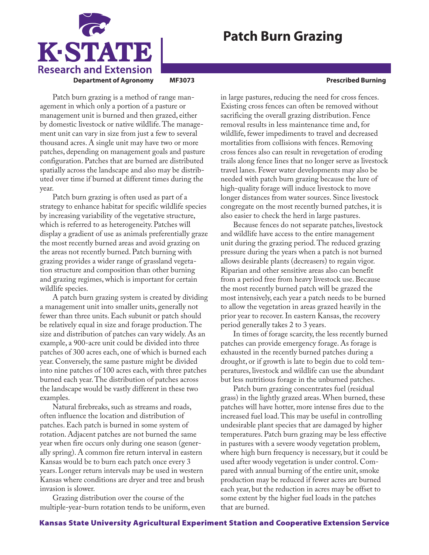

## **Patch Burn Grazing**

Patch burn grazing is a method of range management in which only a portion of a pasture or management unit is burned and then grazed, either by domestic livestock or native wildlife. The management unit can vary in size from just a few to several thousand acres. A single unit may have two or more patches, depending on management goals and pasture configuration. Patches that are burned are distributed spatially across the landscape and also may be distributed over time if burned at different times during the year.

Patch burn grazing is often used as part of a strategy to enhance habitat for specific wildlife species by increasing variability of the vegetative structure, which is referred to as heterogeneity. Patches will display a gradient of use as animals preferentially graze the most recently burned areas and avoid grazing on the areas not recently burned. Patch burning with grazing provides a wider range of grassland vegetation structure and composition than other burning and grazing regimes, which is important for certain wildlife species.

A patch burn grazing system is created by dividing a management unit into smaller units, generally not fewer than three units. Each subunit or patch should be relatively equal in size and forage production. The size and distribution of patches can vary widely. As an example, a 900-acre unit could be divided into three patches of 300 acres each, one of which is burned each year. Conversely, the same pasture might be divided into nine patches of 100 acres each, with three patches burned each year. The distribution of patches across the landscape would be vastly different in these two examples.

Natural firebreaks, such as streams and roads, often influence the location and distribution of patches. Each patch is burned in some system of rotation. Adjacent patches are not burned the same year when fire occurs only during one season (generally spring). A common fire return interval in eastern Kansas would be to burn each patch once every 3 years. Longer return intervals may be used in western Kansas where conditions are dryer and tree and brush invasion is slower.

Grazing distribution over the course of the multiple-year-burn rotation tends to be uniform, even in large pastures, reducing the need for cross fences. Existing cross fences can often be removed without sacrificing the overall grazing distribution. Fence removal results in less maintenance time and, for wildlife, fewer impediments to travel and decreased mortalities from collisions with fences. Removing cross fences also can result in revegetation of eroding trails along fence lines that no longer serve as livestock travel lanes. Fewer water developments may also be needed with patch burn grazing because the lure of high-quality forage will induce livestock to move longer distances from water sources. Since livestock congregate on the most recently burned patches, it is also easier to check the herd in large pastures.

Because fences do not separate patches, livestock and wildlife have access to the entire management unit during the grazing period. The reduced grazing pressure during the years when a patch is not burned allows desirable plants (decreasers) to regain vigor. Riparian and other sensitive areas also can benefit from a period free from heavy livestock use. Because the most recently burned patch will be grazed the most intensively, each year a patch needs to be burned to allow the vegetation in areas grazed heavily in the prior year to recover. In eastern Kansas, the recovery period generally takes 2 to 3 years.

In times of forage scarcity, the less recently burned patches can provide emergency forage. As forage is exhausted in the recently burned patches during a drought, or if growth is late to begin due to cold temperatures, livestock and wildlife can use the abundant but less nutritious forage in the unburned patches.

Patch burn grazing concentrates fuel (residual grass) in the lightly grazed areas. When burned, these patches will have hotter, more intense fires due to the increased fuel load. This may be useful in controlling undesirable plant species that are damaged by higher temperatures. Patch burn grazing may be less effective in pastures with a severe woody vegetation problem, where high burn frequency is necessary, but it could be used after woody vegetation is under control. Compared with annual burning of the entire unit, smoke production may be reduced if fewer acres are burned each year, but the reduction in acres may be offset to some extent by the higher fuel loads in the patches that are burned.